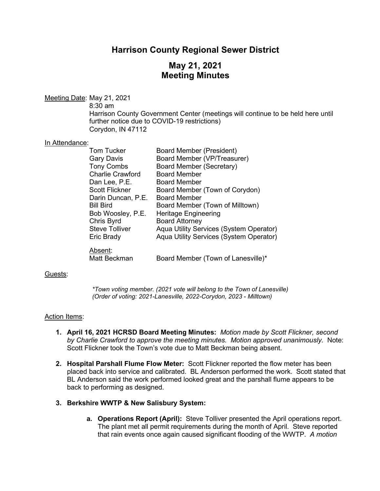## **Harrison County Regional Sewer District**

# **May 21, 2021 Meeting Minutes**

#### Meeting Date: May 21, 2021

8:30 am

Harrison County Government Center (meetings will continue to be held here until further notice due to COVID-19 restrictions) Corydon, IN 47112

#### In Attendance:

| <b>Tom Tucker</b>       | Board Member (President)                |
|-------------------------|-----------------------------------------|
| <b>Gary Davis</b>       | Board Member (VP/Treasurer)             |
| <b>Tony Combs</b>       | Board Member (Secretary)                |
| <b>Charlie Crawford</b> | <b>Board Member</b>                     |
| Dan Lee, P.E.           | <b>Board Member</b>                     |
| <b>Scott Flickner</b>   | Board Member (Town of Corydon)          |
| Darin Duncan, P.E.      | <b>Board Member</b>                     |
| <b>Bill Bird</b>        | Board Member (Town of Milltown)         |
| Bob Woosley, P.E.       | <b>Heritage Engineering</b>             |
| Chris Byrd              | <b>Board Attorney</b>                   |
| <b>Steve Tolliver</b>   | Aqua Utility Services (System Operator) |
| Eric Brady              | Aqua Utility Services (System Operator) |
| Absent:                 |                                         |
| Matt Beckman            | Board Member (Town of Lanesville)*      |

#### Guests:

*\*Town voting member. (2021 vote will belong to the Town of Lanesville) (Order of voting: 2021-Lanesville, 2022-Corydon, 2023 - Milltown)*

#### Action Items:

- **1. April 16, 2021 HCRSD Board Meeting Minutes:** *Motion made by Scott Flickner, second by Charlie Crawford to approve the meeting minutes. Motion approved unanimously.* Note: Scott Flickner took the Town's vote due to Matt Beckman being absent.
- **2. Hospital Parshall Flume Flow Meter:** Scott Flickner reported the flow meter has been placed back into service and calibrated. BL Anderson performed the work. Scott stated that BL Anderson said the work performed looked great and the parshall flume appears to be back to performing as designed.

## **3. Berkshire WWTP & New Salisbury System:**

**a. Operations Report (April):** Steve Tolliver presented the April operations report. The plant met all permit requirements during the month of April. Steve reported that rain events once again caused significant flooding of the WWTP. *A motion*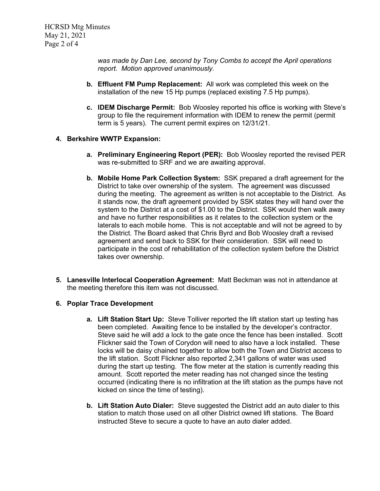*was made by Dan Lee, second by Tony Combs to accept the April operations report. Motion approved unanimously.*

- **b. Effluent FM Pump Replacement:** All work was completed this week on the installation of the new 15 Hp pumps (replaced existing 7.5 Hp pumps).
- **c. IDEM Discharge Permit:** Bob Woosley reported his office is working with Steve's group to file the requirement information with IDEM to renew the permit (permit term is 5 years). The current permit expires on 12/31/21.

## **4. Berkshire WWTP Expansion:**

- **a. Preliminary Engineering Report (PER):** Bob Woosley reported the revised PER was re-submitted to SRF and we are awaiting approval.
- **b. Mobile Home Park Collection System:** SSK prepared a draft agreement for the District to take over ownership of the system. The agreement was discussed during the meeting. The agreement as written is not acceptable to the District. As it stands now, the draft agreement provided by SSK states they will hand over the system to the District at a cost of \$1.00 to the District. SSK would then walk away and have no further responsibilities as it relates to the collection system or the laterals to each mobile home. This is not acceptable and will not be agreed to by the District. The Board asked that Chris Byrd and Bob Woosley draft a revised agreement and send back to SSK for their consideration. SSK will need to participate in the cost of rehabilitation of the collection system before the District takes over ownership.
- **5. Lanesville Interlocal Cooperation Agreement:** Matt Beckman was not in attendance at the meeting therefore this item was not discussed.

## **6. Poplar Trace Development**

- **a. Lift Station Start Up:** Steve Tolliver reported the lift station start up testing has been completed. Awaiting fence to be installed by the developer's contractor. Steve said he will add a lock to the gate once the fence has been installed. Scott Flickner said the Town of Corydon will need to also have a lock installed. These locks will be daisy chained together to allow both the Town and District access to the lift station. Scott Flickner also reported 2,341 gallons of water was used during the start up testing. The flow meter at the station is currently reading this amount. Scott reported the meter reading has not changed since the testing occurred (indicating there is no infiltration at the lift station as the pumps have not kicked on since the time of testing).
- **b. Lift Station Auto Dialer:** Steve suggested the District add an auto dialer to this station to match those used on all other District owned lift stations. The Board instructed Steve to secure a quote to have an auto dialer added.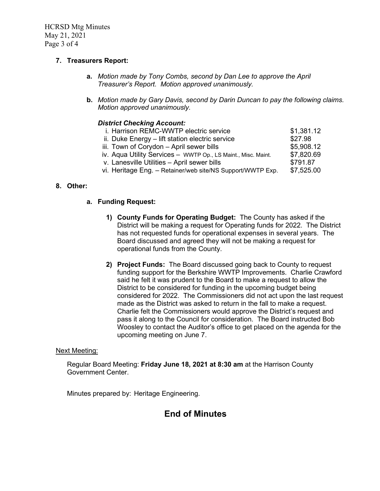HCRSD Mtg Minutes May 21, 2021 Page 3 of 4

## **7. Treasurers Report:**

- **a.** *Motion made by Tony Combs, second by Dan Lee to approve the April Treasurer's Report. Motion approved unanimously.*
- **b.** *Motion made by Gary Davis, second by Darin Duncan to pay the following claims. Motion approved unanimously.*

#### *District Checking Account:*

| i. Harrison REMC-WWTP electric service                        | \$1,381.12 |
|---------------------------------------------------------------|------------|
| ii. Duke Energy – lift station electric service               | \$27.98    |
| iii. Town of Corydon - April sewer bills                      | \$5,908.12 |
| iv. Aqua Utility Services - WWTP Op., LS Maint., Misc. Maint. | \$7,820.69 |
| v. Lanesville Utilities - April sewer bills                   | \$791.87   |
| vi. Heritage Eng. - Retainer/web site/NS Support/WWTP Exp.    | \$7,525.00 |
|                                                               |            |

## **8. Other:**

#### **a. Funding Request:**

- **1) County Funds for Operating Budget:** The County has asked if the District will be making a request for Operating funds for 2022. The District has not requested funds for operational expenses in several years. The Board discussed and agreed they will not be making a request for operational funds from the County.
- **2) Project Funds:** The Board discussed going back to County to request funding support for the Berkshire WWTP Improvements. Charlie Crawford said he felt it was prudent to the Board to make a request to allow the District to be considered for funding in the upcoming budget being considered for 2022. The Commissioners did not act upon the last request made as the District was asked to return in the fall to make a request. Charlie felt the Commissioners would approve the District's request and pass it along to the Council for consideration. The Board instructed Bob Woosley to contact the Auditor's office to get placed on the agenda for the upcoming meeting on June 7.

#### Next Meeting:

Regular Board Meeting: **Friday June 18, 2021 at 8:30 am** at the Harrison County Government Center.

Minutes prepared by: Heritage Engineering.

## **End of Minutes**